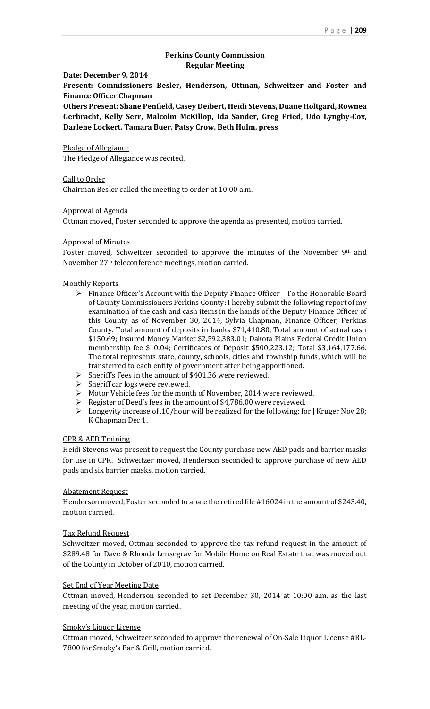# **Perkins County Commission Regular Meeting**

### **Date: December 9, 2014**

**Present: Commissioners Besler, Henderson, Ottman, Schweitzer and Foster and Finance Officer Chapman**

**Others Present: Shane Penfield, Casey Deibert, Heidi Stevens, Duane Holtgard, Rownea Gerbracht, Kelly Serr, Malcolm McKillop, Ida Sander, Greg Fried, Udo Lyngby-Cox, Darlene Lockert, Tamara Buer, Patsy Crow, Beth Hulm, press**

### Pledge of Allegiance

The Pledge of Allegiance was recited.

# Call to Order

Chairman Besler called the meeting to order at 10:00 a.m.

# Approval of Agenda

Ottman moved, Foster seconded to approve the agenda as presented, motion carried.

## Approval of Minutes

Foster moved, Schweitzer seconded to approve the minutes of the November 9<sup>th</sup> and November 27th teleconference meetings, motion carried.

#### Monthly Reports

- $\triangleright$  Finance Officer's Account with the Deputy Finance Officer To the Honorable Board of County Commissioners Perkins County: I hereby submit the following report of my examination of the cash and cash items in the hands of the Deputy Finance Officer of this County as of November 30, 2014, Sylvia Chapman, Finance Officer, Perkins County. Total amount of deposits in banks \$71,410.80, Total amount of actual cash \$150.69; Insured Money Market \$2,592,383.01; Dakota Plains Federal Credit Union membership fee \$10.04; Certificates of Deposit \$500,223.12; Total \$3,164,177.66. The total represents state, county, schools, cities and township funds, which will be transferred to each entity of government after being apportioned.
- $\triangleright$  Sheriff's Fees in the amount of \$401.36 were reviewed.
- $\triangleright$  Sheriff car logs were reviewed.
- Motor Vehicle fees for the month of November, 2014 were reviewed.
- Register of Deed's fees in the amount of \$4,786.00 were reviewed.
- $\triangleright$  Longevity increase of .10/hour will be realized for the following: for J Kruger Nov 28; K Chapman Dec 1.

## CPR & AED Training

Heidi Stevens was present to request the County purchase new AED pads and barrier masks for use in CPR. Schweitzer moved, Henderson seconded to approve purchase of new AED pads and six barrier masks, motion carried.

### Abatement Request

Henderson moved, Foster seconded to abate the retired file #16024 in the amount of \$243.40, motion carried.

### Tax Refund Request

Schweitzer moved, Ottman seconded to approve the tax refund request in the amount of \$289.48 for Dave & Rhonda Lensegrav for Mobile Home on Real Estate that was moved out of the County in October of 2010, motion carried.

### Set End of Year Meeting Date

Ottman moved, Henderson seconded to set December 30, 2014 at 10:00 a.m. as the last meeting of the year, motion carried.

#### Smoky's Liquor License

Ottman moved, Schweitzer seconded to approve the renewal of On-Sale Liquor License #RL-7800 for Smoky's Bar & Grill, motion carried.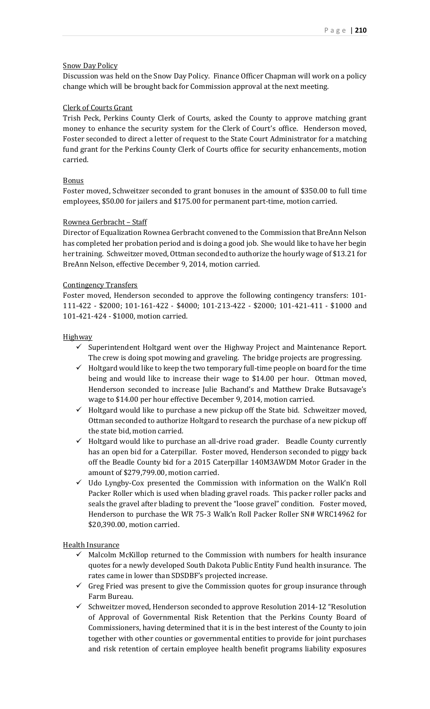## Snow Day Policy

Discussion was held on the Snow Day Policy. Finance Officer Chapman will work on a policy change which will be brought back for Commission approval at the next meeting.

## Clerk of Courts Grant

Trish Peck, Perkins County Clerk of Courts, asked the County to approve matching grant money to enhance the security system for the Clerk of Court's office. Henderson moved, Foster seconded to direct a letter of request to the State Court Administrator for a matching fund grant for the Perkins County Clerk of Courts office for security enhancements, motion carried.

## Bonus

Foster moved, Schweitzer seconded to grant bonuses in the amount of \$350.00 to full time employees, \$50.00 for jailers and \$175.00 for permanent part-time, motion carried.

## Rownea Gerbracht – Staff

Director of Equalization Rownea Gerbracht convened to the Commission that BreAnn Nelson has completed her probation period and is doing a good job. She would like to have her begin her training. Schweitzer moved, Ottman seconded to authorize the hourly wage of \$13.21 for BreAnn Nelson, effective December 9, 2014, motion carried.

## Contingency Transfers

Foster moved, Henderson seconded to approve the following contingency transfers: 101- 111-422 - \$2000; 101-161-422 - \$4000; 101-213-422 - \$2000; 101-421-411 - \$1000 and 101-421-424 - \$1000, motion carried.

## **Highway**

- $\checkmark$  Superintendent Holtgard went over the Highway Project and Maintenance Report. The crew is doing spot mowing and graveling. The bridge projects are progressing.
- $\checkmark$  Holtgard would like to keep the two temporary full-time people on board for the time being and would like to increase their wage to \$14.00 per hour. Ottman moved, Henderson seconded to increase Julie Bachand's and Matthew Drake Butsavage's wage to \$14.00 per hour effective December 9, 2014, motion carried.
- $\checkmark$  Holtgard would like to purchase a new pickup off the State bid. Schweitzer moved, Ottman seconded to authorize Holtgard to research the purchase of a new pickup off the state bid, motion carried.
- $\checkmark$  Holtgard would like to purchase an all-drive road grader. Beadle County currently has an open bid for a Caterpillar. Foster moved, Henderson seconded to piggy back off the Beadle County bid for a 2015 Caterpillar 140M3AWDM Motor Grader in the amount of \$279,799.00, motion carried.
- $\checkmark$  Udo Lyngby-Cox presented the Commission with information on the Walk'n Roll Packer Roller which is used when blading gravel roads. This packer roller packs and seals the gravel after blading to prevent the "loose gravel" condition. Foster moved, Henderson to purchase the WR 75-3 Walk'n Roll Packer Roller SN# WRC14962 for \$20,390.00, motion carried.

Health Insurance

- $\checkmark$  Malcolm McKillop returned to the Commission with numbers for health insurance quotes for a newly developed South Dakota Public Entity Fund health insurance. The rates came in lower than SDSDBF's projected increase.
- $\checkmark$  Greg Fried was present to give the Commission quotes for group insurance through Farm Bureau.
- $\checkmark$  Schweitzer moved, Henderson seconded to approve Resolution 2014-12 "Resolution of Approval of Governmental Risk Retention that the Perkins County Board of Commissioners, having determined that it is in the best interest of the County to join together with other counties or governmental entities to provide for joint purchases and risk retention of certain employee health benefit programs liability exposures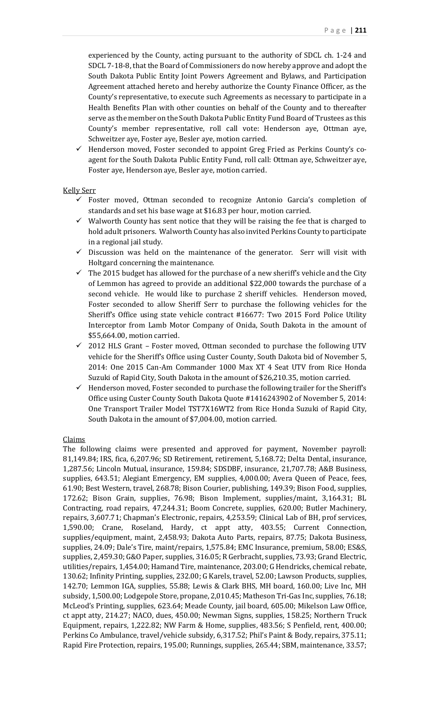experienced by the County, acting pursuant to the authority of SDCL ch. 1-24 and SDCL 7-18-8, that the Board of Commissioners do now hereby approve and adopt the South Dakota Public Entity Joint Powers Agreement and Bylaws, and Participation Agreement attached hereto and hereby authorize the County Finance Officer, as the County's representative, to execute such Agreements as necessary to participate in a Health Benefits Plan with other counties on behalf of the County and to thereafter serve as the member on the South Dakota Public Entity Fund Board of Trustees as this County's member representative, roll call vote: Henderson aye, Ottman aye, Schweitzer aye, Foster aye, Besler aye, motion carried.

 Henderson moved, Foster seconded to appoint Greg Fried as Perkins County's coagent for the South Dakota Public Entity Fund, roll call: Ottman aye, Schweitzer aye, Foster aye, Henderson aye, Besler aye, motion carried.

# Kelly Serr

- $\checkmark$  Foster moved, Ottman seconded to recognize Antonio Garcia's completion of standards and set his base wage at \$16.83 per hour, motion carried.
- $\checkmark$  Walworth County has sent notice that they will be raising the fee that is charged to hold adult prisoners. Walworth County has also invited Perkins County to participate in a regional jail study.
- $\checkmark$  Discussion was held on the maintenance of the generator. Serr will visit with Holtgard concerning the maintenance.
- $\checkmark$  The 2015 budget has allowed for the purchase of a new sheriff's vehicle and the City of Lemmon has agreed to provide an additional \$22,000 towards the purchase of a second vehicle. He would like to purchase 2 sheriff vehicles. Henderson moved, Foster seconded to allow Sheriff Serr to purchase the following vehicles for the Sheriff's Office using state vehicle contract #16677: Two 2015 Ford Police Utility Interceptor from Lamb Motor Company of Onida, South Dakota in the amount of \$55,664.00, motion carried.
- $\checkmark$  2012 HLS Grant Foster moved, Ottman seconded to purchase the following UTV vehicle for the Sheriff's Office using Custer County, South Dakota bid of November 5, 2014: One 2015 Can-Am Commander 1000 Max XT 4 Seat UTV from Rice Honda Suzuki of Rapid City, South Dakota in the amount of \$26,210.35, motion carried.
- $\checkmark$  Henderson moved, Foster seconded to purchase the following trailer for the Sheriff's Office using Custer County South Dakota Quote #1416243902 of November 5, 2014: One Transport Trailer Model TST7X16WT2 from Rice Honda Suzuki of Rapid City, South Dakota in the amount of \$7,004.00, motion carried.

# Claims

The following claims were presented and approved for payment, November payroll: 81,149.84; IRS, fica, 6,207.96; SD Retirement, retirement, 5,168.72; Delta Dental, insurance, 1,287.56; Lincoln Mutual, insurance, 159.84; SDSDBF, insurance, 21,707.78; A&B Business, supplies, 643.51; Alegiant Emergency, EM supplies, 4,000.00; Avera Queen of Peace, fees, 61.90; Best Western, travel, 268.78; Bison Courier, publishing, 149.39; Bison Food, supplies, 172.62; Bison Grain, supplies, 76.98; Bison Implement, supplies/maint, 3,164.31; BL Contracting, road repairs, 47,244.31; Boom Concrete, supplies, 620.00; Butler Machinery, repairs, 3,607.71; Chapman's Electronic, repairs, 4,253.59; Clinical Lab of BH, prof services, 1,590.00; Crane, Roseland, Hardy, ct appt atty, 403.55; Current Connection, supplies/equipment, maint, 2,458.93; Dakota Auto Parts, repairs, 87.75; Dakota Business, supplies, 24.09; Dale's Tire, maint/repairs, 1,575.84; EMC Insurance, premium, 58.00; ES&S, supplies, 2,459.30; G&O Paper, supplies, 316.05; R Gerbracht, supplies, 73.93; Grand Electric, utilities/repairs, 1,454.00; Hamand Tire, maintenance, 203.00; G Hendricks, chemical rebate, 130.62; Infinity Printing, supplies, 232.00; G Karels, travel, 52.00; Lawson Products, supplies, 142.70; Lemmon IGA, supplies, 55.88; Lewis & Clark BHS, MH board, 160.00; Live Inc, MH subsidy, 1,500.00; Lodgepole Store, propane, 2,010.45; Matheson Tri-Gas Inc, supplies, 76.18; McLeod's Printing, supplies, 623.64; Meade County, jail board, 605.00; Mikelson Law Office, ct appt atty, 214.27; NACO, dues, 450.00; Newman Signs, supplies, 158.25; Northern Truck Equipment, repairs, 1,222.82; NW Farm & Home, supplies, 483.56; S Penfield, rent, 400.00; Perkins Co Ambulance, travel/vehicle subsidy, 6,317.52; Phil's Paint & Body, repairs, 375.11; Rapid Fire Protection, repairs, 195.00; Runnings, supplies, 265.44; SBM, maintenance, 33.57;